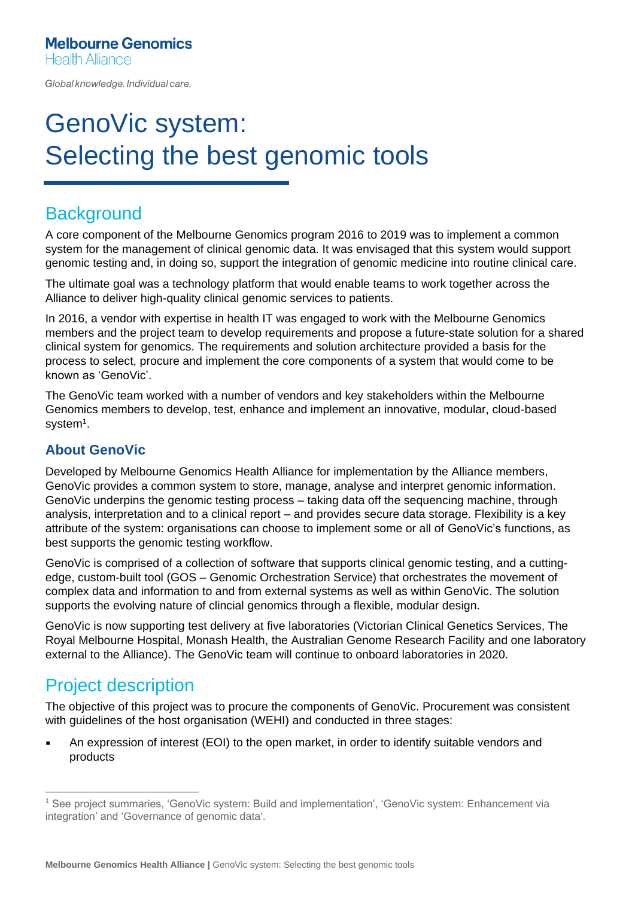Global knowledge. Individual care.

# GenoVic system: Selecting the best genomic tools

## **Background**

A core component of the Melbourne Genomics program 2016 to 2019 was to implement a common system for the management of clinical genomic data. It was envisaged that this system would support genomic testing and, in doing so, support the integration of genomic medicine into routine clinical care.

The ultimate goal was a technology platform that would enable teams to work together across the Alliance to deliver high-quality clinical genomic services to patients.

In 2016, a vendor with expertise in health IT was engaged to work with the Melbourne Genomics members and the project team to develop requirements and propose a future-state solution for a shared clinical system for genomics. The requirements and solution architecture provided a basis for the process to select, procure and implement the core components of a system that would come to be known as 'GenoVic'.

The GenoVic team worked with a number of vendors and key stakeholders within the Melbourne Genomics members to develop, test, enhance and implement an innovative, modular, cloud-based system $^1$ .

#### **About GenoVic**

Developed by Melbourne Genomics Health Alliance for implementation by the Alliance members, GenoVic provides a common system to store, manage, analyse and interpret genomic information. GenoVic underpins the genomic testing process – taking data off the sequencing machine, through analysis, interpretation and to a clinical report – and provides secure data storage. Flexibility is a key attribute of the system: organisations can choose to implement some or all of GenoVic's functions, as best supports the genomic testing workflow.

GenoVic is comprised of a collection of software that supports clinical genomic testing, and a cuttingedge, custom-built tool (GOS – Genomic Orchestration Service) that orchestrates the movement of complex data and information to and from external systems as well as within GenoVic. The solution supports the evolving nature of clincial genomics through a flexible, modular design.

GenoVic is now supporting test delivery at five laboratories (Victorian Clinical Genetics Services, The Royal Melbourne Hospital, Monash Health, the Australian Genome Research Facility and one laboratory external to the Alliance). The GenoVic team will continue to onboard laboratories in 2020.

### Project description

The objective of this project was to procure the components of GenoVic. Procurement was consistent with guidelines of the host organisation (WEHI) and conducted in three stages:

An expression of interest (EOI) to the open market, in order to identify suitable vendors and products

<sup>1</sup> See project summaries, 'GenoVic system: Build and implementation', 'GenoVic system: Enhancement via integration' and 'Governance of genomic data'.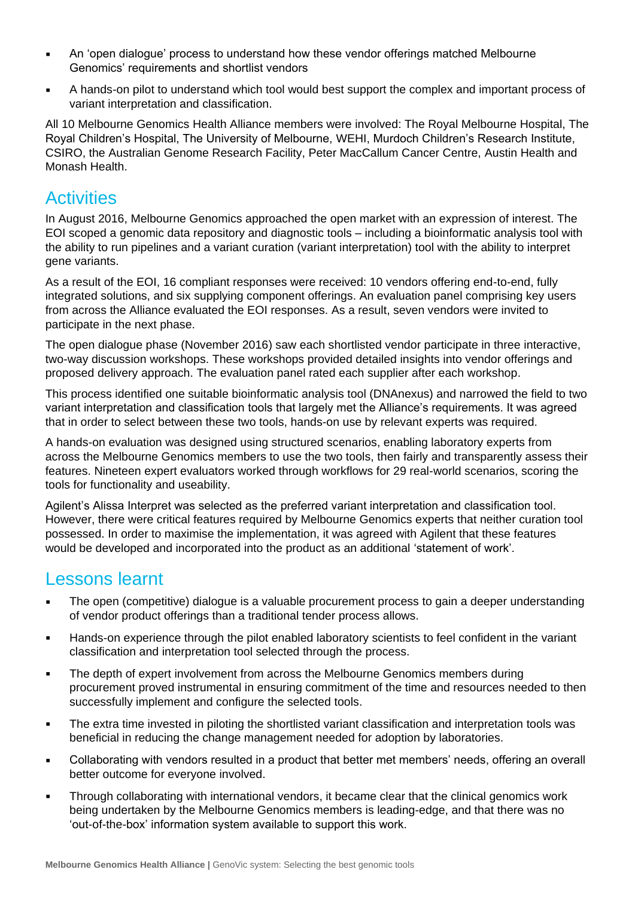- An 'open dialogue' process to understand how these vendor offerings matched Melbourne Genomics' requirements and shortlist vendors
- A hands-on pilot to understand which tool would best support the complex and important process of variant interpretation and classification.

All 10 Melbourne Genomics Health Alliance members were involved: The Royal Melbourne Hospital, The Royal Children's Hospital, The University of Melbourne, WEHI, Murdoch Children's Research Institute, CSIRO, the Australian Genome Research Facility, Peter MacCallum Cancer Centre, Austin Health and Monash Health.

#### **Activities**

In August 2016, Melbourne Genomics approached the open market with an expression of interest. The EOI scoped a genomic data repository and diagnostic tools – including a bioinformatic analysis tool with the ability to run pipelines and a variant curation (variant interpretation) tool with the ability to interpret gene variants.

As a result of the EOI, 16 compliant responses were received: 10 vendors offering end-to-end, fully integrated solutions, and six supplying component offerings. An evaluation panel comprising key users from across the Alliance evaluated the EOI responses. As a result, seven vendors were invited to participate in the next phase.

The open dialogue phase (November 2016) saw each shortlisted vendor participate in three interactive, two-way discussion workshops. These workshops provided detailed insights into vendor offerings and proposed delivery approach. The evaluation panel rated each supplier after each workshop.

This process identified one suitable bioinformatic analysis tool (DNAnexus) and narrowed the field to two variant interpretation and classification tools that largely met the Alliance's requirements. It was agreed that in order to select between these two tools, hands-on use by relevant experts was required.

A hands-on evaluation was designed using structured scenarios, enabling laboratory experts from across the Melbourne Genomics members to use the two tools, then fairly and transparently assess their features. Nineteen expert evaluators worked through workflows for 29 real-world scenarios, scoring the tools for functionality and useability.

Agilent's Alissa Interpret was selected as the preferred variant interpretation and classification tool. However, there were critical features required by Melbourne Genomics experts that neither curation tool possessed. In order to maximise the implementation, it was agreed with Agilent that these features would be developed and incorporated into the product as an additional 'statement of work'.

#### Lessons learnt

- The open (competitive) dialogue is a valuable procurement process to gain a deeper understanding of vendor product offerings than a traditional tender process allows.
- Hands-on experience through the pilot enabled laboratory scientists to feel confident in the variant classification and interpretation tool selected through the process.
- **•** The depth of expert involvement from across the Melbourne Genomics members during procurement proved instrumental in ensuring commitment of the time and resources needed to then successfully implement and configure the selected tools.
- The extra time invested in piloting the shortlisted variant classification and interpretation tools was beneficial in reducing the change management needed for adoption by laboratories.
- Collaborating with vendors resulted in a product that better met members' needs, offering an overall better outcome for everyone involved.
- **Through collaborating with international vendors, it became clear that the clinical genomics work** being undertaken by the Melbourne Genomics members is leading-edge, and that there was no 'out-of-the-box' information system available to support this work.